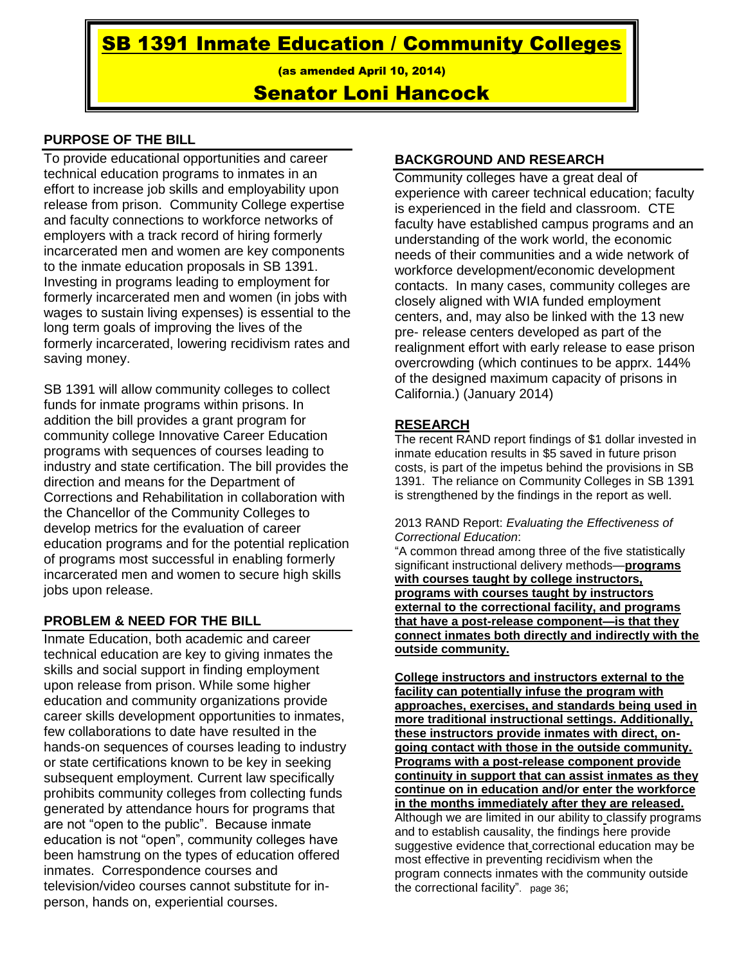SB 1391 Inmate Education / Community Colleges

(as amended April 10, 2014)

# Senator Loni Hancock

### **PURPOSE OF THE BILL**

To provide educational opportunities and career technical education programs to inmates in an effort to increase job skills and employability upon release from prison. Community College expertise and faculty connections to workforce networks of employers with a track record of hiring formerly incarcerated men and women are key components to the inmate education proposals in SB 1391. Investing in programs leading to employment for formerly incarcerated men and women (in jobs with wages to sustain living expenses) is essential to the long term goals of improving the lives of the formerly incarcerated, lowering recidivism rates and saving money.

SB 1391 will allow community colleges to collect funds for inmate programs within prisons. In addition the bill provides a grant program for community college Innovative Career Education programs with sequences of courses leading to industry and state certification. The bill provides the direction and means for the Department of Corrections and Rehabilitation in collaboration with the Chancellor of the Community Colleges to develop metrics for the evaluation of career education programs and for the potential replication of programs most successful in enabling formerly incarcerated men and women to secure high skills jobs upon release.

### **PROBLEM & NEED FOR THE BILL**

Inmate Education, both academic and career technical education are key to giving inmates the skills and social support in finding employment upon release from prison. While some higher education and community organizations provide career skills development opportunities to inmates, few collaborations to date have resulted in the hands-on sequences of courses leading to industry or state certifications known to be key in seeking subsequent employment. Current law specifically prohibits community colleges from collecting funds generated by attendance hours for programs that are not "open to the public". Because inmate education is not "open", community colleges have been hamstrung on the types of education offered inmates. Correspondence courses and television/video courses cannot substitute for inperson, hands on, experiential courses.

### **BACKGROUND AND RESEARCH**

Community colleges have a great deal of experience with career technical education; faculty is experienced in the field and classroom. CTE faculty have established campus programs and an understanding of the work world, the economic needs of their communities and a wide network of workforce development/economic development contacts. In many cases, community colleges are closely aligned with WIA funded employment centers, and, may also be linked with the 13 new pre- release centers developed as part of the realignment effort with early release to ease prison overcrowding (which continues to be apprx. 144% of the designed maximum capacity of prisons in California.) (January 2014)

### **RESEARCH**

The recent RAND report findings of \$1 dollar invested in inmate education results in \$5 saved in future prison costs, is part of the impetus behind the provisions in SB 1391. The reliance on Community Colleges in SB 1391 is strengthened by the findings in the report as well.

#### 2013 RAND Report: *Evaluating the Effectiveness of Correctional Education*:

"A common thread among three of the five statistically significant instructional delivery methods—**programs with courses taught by college instructors, programs with courses taught by instructors external to the correctional facility, and programs that have a post-release component—is that they connect inmates both directly and indirectly with the outside community.**

**College instructors and instructors external to the facility can potentially infuse the program with approaches, exercises, and standards being used in more traditional instructional settings. Additionally, these instructors provide inmates with direct, ongoing contact with those in the outside community. Programs with a post-release component provide continuity in support that can assist inmates as they continue on in education and/or enter the workforce in the months immediately after they are released.** Although we are limited in our ability to classify programs and to establish causality, the findings here provide suggestive evidence that correctional education may be most effective in preventing recidivism when the program connects inmates with the community outside the correctional facility". page 36;